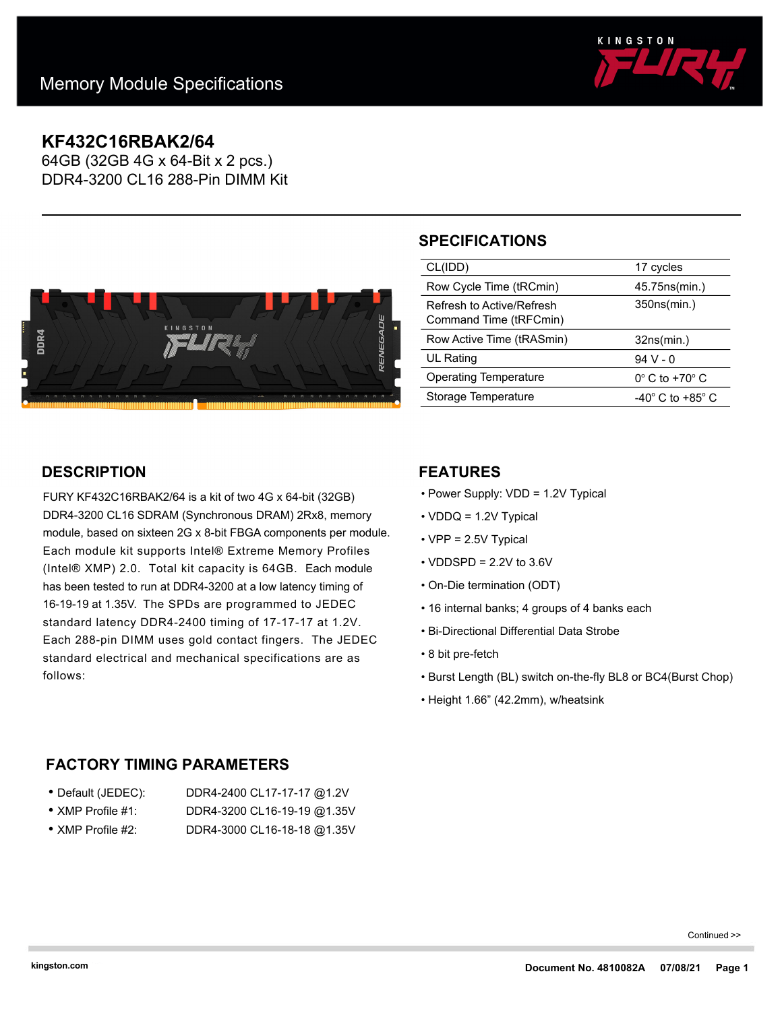

## **KF432C16RBAK2/64**

64GB (32GB 4G x 64-Bit x 2 pcs.) DDR4-3200 CL16 288-Pin DIMM Kit



# **SPECIFICATIONS**

| CL(IDD)                                             | 17 cycles                     |
|-----------------------------------------------------|-------------------------------|
| Row Cycle Time (tRCmin)                             | 45.75ns(min.)                 |
| Refresh to Active/Refresh<br>Command Time (tRFCmin) | 350ns(min.)                   |
|                                                     |                               |
| Row Active Time (tRASmin)                           | 32ns(min.)                    |
| <b>UL Rating</b>                                    | $94V - 0$                     |
| Operating Temperature                               | $0^\circ$ C to +70 $^\circ$ C |
| Storage Temperature                                 | -40° C to +85° C              |

## **DESCRIPTION**

FURY KF432C16RBAK2/64 is a kit of two 4G x 64-bit (32GB) DDR4-3200 CL16 SDRAM (Synchronous DRAM) 2Rx8, memory module, based on sixteen 2G x 8-bit FBGA components per module. Each module kit supports Intel® Extreme Memory Profiles (Intel® XMP) 2.0. Total kit capacity is 64GB. Each module has been tested to run at DDR4-3200 at a low latency timing of 16-19-19 at 1.35V. The SPDs are programmed to JEDEC standard latency DDR4-2400 timing of 17-17-17 at 1.2V. Each 288-pin DIMM uses gold contact fingers. The JEDEC standard electrical and mechanical specifications are as follows:

### **FEATURES**

- Power Supply: VDD = 1.2V Typical
- VDDQ = 1.2V Typical
- VPP = 2.5V Typical
- $\cdot$  VDDSPD = 2.2V to 3.6V
- On-Die termination (ODT)
- 16 internal banks; 4 groups of 4 banks each
- Bi-Directional Differential Data Strobe
- 8 bit pre-fetch
- Burst Length (BL) switch on-the-fly BL8 or BC4(Burst Chop)
- Height 1.66" (42.2mm), w/heatsink

## **FACTORY TIMING PARAMETERS**

- Default (JEDEC): DDR4-2400 CL17-17-17 @1.2V • XMP Profile #1: DDR4-3200 CL16-19-19 @1.35V
- XMP Profile #2: DDR4-3000 CL16-18-18 @1.35V
- 

Continued >>